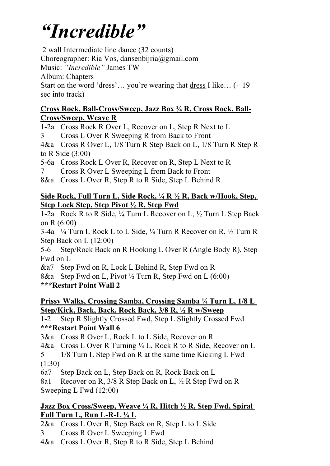# *"Incredible"*

2 wall Intermediate line dance (32 counts)

Choreographer: Ria Vos, dansenbijria@gmail.com

Music: *"Incredible"* James TW

Album: Chapters

Start on the word 'dress'... you're wearing that dress I like...  $(\pm 19)$ sec into track)

#### **Cross Rock, Ball-Cross/Sweep, Jazz Box ¼ R, Cross Rock, Ball-Cross/Sweep, Weave R**

1-2a Cross Rock R Over L, Recover on L, Step R Next to L

3 Cross L Over R Sweeping R from Back to Front

4&a Cross R Over L, 1/8 Turn R Step Back on L, 1/8 Turn R Step R to R Side (3:00)

5-6a Cross Rock L Over R, Recover on R, Step L Next to R

7 Cross R Over L Sweeping L from Back to Front

8&a Cross L Over R, Step R to R Side, Step L Behind R

#### **Side Rock, Full Turn L, Side Rock, ¼ R ½ R, Back w/Hook, Step, Step Lock Step, Step Pivot ½ R, Step Fwd**

1-2a Rock R to R Side, ¼ Turn L Recover on L, ½ Turn L Step Back on R (6:00)

3-4a  $\frac{1}{4}$  Turn L Rock L to L Side,  $\frac{1}{4}$  Turn R Recover on R,  $\frac{1}{2}$  Turn R Step Back on L (12:00)

5-6 Step/Rock Back on R Hooking L Over R (Angle Body R), Step Fwd on L

&a7 Step Fwd on R, Lock L Behind R, Step Fwd on R

8&a Step Fwd on L, Pivot  $\frac{1}{2}$  Turn R, Step Fwd on L (6:00)

**\*\*\*Restart Point Wall 2**

### **Prissy Walks, Crossing Samba, Crossing Samba ¼ Turn L, 1/8 L Step/Kick, Back, Back, Rock Back, 3/8 R, ½ R w/Sweep**

1-2 Step R Slightly Crossed Fwd, Step L Slightly Crossed Fwd **\*\*\*Restart Point Wall 6**

3&a Cross R Over L, Rock L to L Side, Recover on R

4&a Cross L Over R Turning ¼ L, Rock R to R Side, Recover on L

5 1/8 Turn L Step Fwd on R at the same time Kicking L Fwd (1:30)

6a7 Step Back on L, Step Back on R, Rock Back on L

8a1 Recover on R, 3/8 R Step Back on L, ½ R Step Fwd on R Sweeping L Fwd (12:00)

### **Jazz Box Cross/Sweep, Weave ¼ R, Hitch ½ R, Step Fwd, Spiral Full Turn L, Run L-R-L ¼ L**

2&a Cross L Over R, Step Back on R, Step L to L Side

3 Cross R Over L Sweeping L Fwd

4&a Cross L Over R, Step R to R Side, Step L Behind